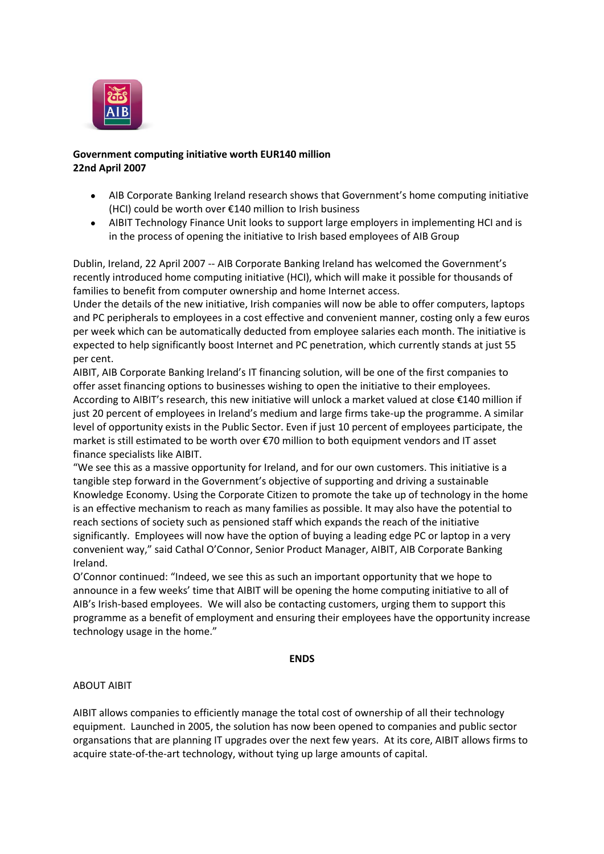

## **Government computing initiative worth EUR140 million 22nd April 2007**

- AIB Corporate Banking Ireland research shows that Government's home computing initiative (HCI) could be worth over €140 million to Irish business
- AIBIT Technology Finance Unit looks to support large employers in implementing HCI and is in the process of opening the initiative to Irish based employees of AIB Group

Dublin, Ireland, 22 April 2007 -- AIB Corporate Banking Ireland has welcomed the Government's recently introduced home computing initiative (HCI), which will make it possible for thousands of families to benefit from computer ownership and home Internet access.

Under the details of the new initiative, Irish companies will now be able to offer computers, laptops and PC peripherals to employees in a cost effective and convenient manner, costing only a few euros per week which can be automatically deducted from employee salaries each month. The initiative is expected to help significantly boost Internet and PC penetration, which currently stands at just 55 per cent.

AIBIT, AIB Corporate Banking Ireland's IT financing solution, will be one of the first companies to offer asset financing options to businesses wishing to open the initiative to their employees. According to AIBIT's research, this new initiative will unlock a market valued at close €140 million if just 20 percent of employees in Ireland's medium and large firms take-up the programme. A similar level of opportunity exists in the Public Sector. Even if just 10 percent of employees participate, the market is still estimated to be worth over €70 million to both equipment vendors and IT asset finance specialists like AIBIT.

"We see this as a massive opportunity for Ireland, and for our own customers. This initiative is a tangible step forward in the Government's objective of supporting and driving a sustainable Knowledge Economy. Using the Corporate Citizen to promote the take up of technology in the home is an effective mechanism to reach as many families as possible. It may also have the potential to reach sections of society such as pensioned staff which expands the reach of the initiative significantly. Employees will now have the option of buying a leading edge PC or laptop in a very convenient way," said Cathal O'Connor, Senior Product Manager, AIBIT, AIB Corporate Banking Ireland.

O'Connor continued: "Indeed, we see this as such an important opportunity that we hope to announce in a few weeks' time that AIBIT will be opening the home computing initiative to all of AIB's Irish-based employees. We will also be contacting customers, urging them to support this programme as a benefit of employment and ensuring their employees have the opportunity increase technology usage in the home."

## **ENDS**

## ABOUT AIBIT

AIBIT allows companies to efficiently manage the total cost of ownership of all their technology equipment. Launched in 2005, the solution has now been opened to companies and public sector organsations that are planning IT upgrades over the next few years. At its core, AIBIT allows firms to acquire state-of-the-art technology, without tying up large amounts of capital.